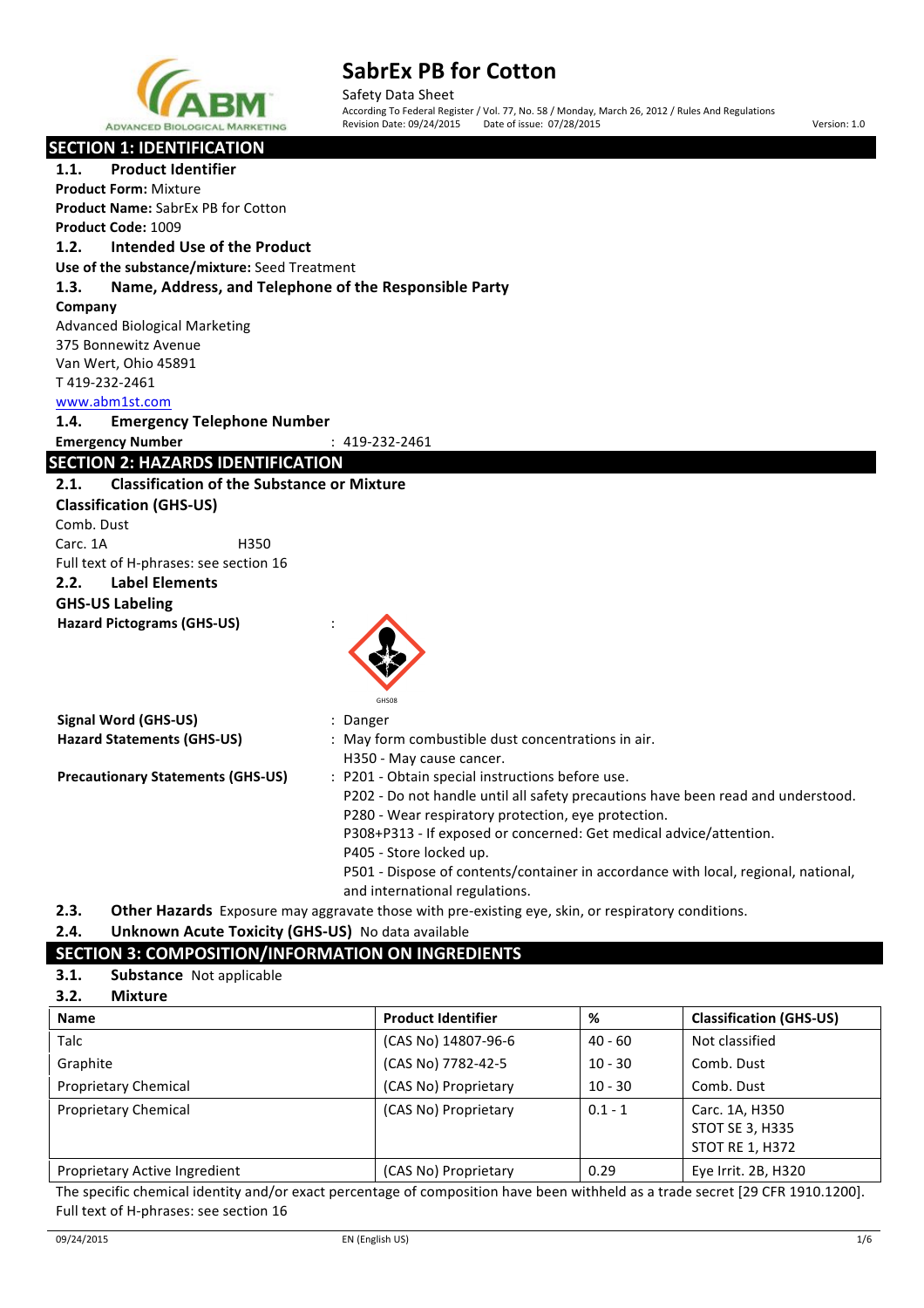

Safety Data Sheet According To Federal Register / Vol. 77, No. 58 / Monday, March 26, 2012 / Rules And Regulations Revision Date: 09/24/2015 Date of issue: 07/28/2015 **Version:** 1.0

| <b>SECTION 1: IDENTIFICATION</b>                              |                                                                                                    |
|---------------------------------------------------------------|----------------------------------------------------------------------------------------------------|
| <b>Product Identifier</b><br>1.1.                             |                                                                                                    |
| <b>Product Form: Mixture</b>                                  |                                                                                                    |
| <b>Product Name: SabrEx PB for Cotton</b>                     |                                                                                                    |
| Product Code: 1009                                            |                                                                                                    |
| 1.2.<br>Intended Use of the Product                           |                                                                                                    |
| Use of the substance/mixture: Seed Treatment                  |                                                                                                    |
| 1.3.<br>Name, Address, and Telephone of the Responsible Party |                                                                                                    |
| Company                                                       |                                                                                                    |
| <b>Advanced Biological Marketing</b>                          |                                                                                                    |
| 375 Bonnewitz Avenue                                          |                                                                                                    |
| Van Wert, Ohio 45891                                          |                                                                                                    |
| T419-232-2461                                                 |                                                                                                    |
| www.abm1st.com                                                |                                                                                                    |
| 1.4.<br><b>Emergency Telephone Number</b>                     |                                                                                                    |
| <b>Emergency Number</b>                                       | $: 419 - 232 - 2461$                                                                               |
| <b>SECTION 2: HAZARDS IDENTIFICATION</b>                      |                                                                                                    |
| <b>Classification of the Substance or Mixture</b><br>2.1.     |                                                                                                    |
| <b>Classification (GHS-US)</b>                                |                                                                                                    |
| Comb. Dust                                                    |                                                                                                    |
| Carc. 1A<br>H350                                              |                                                                                                    |
| Full text of H-phrases: see section 16                        |                                                                                                    |
| 2.2.<br><b>Label Elements</b>                                 |                                                                                                    |
| <b>GHS-US Labeling</b>                                        |                                                                                                    |
| <b>Hazard Pictograms (GHS-US)</b>                             |                                                                                                    |
|                                                               |                                                                                                    |
|                                                               |                                                                                                    |
|                                                               |                                                                                                    |
|                                                               |                                                                                                    |
| <b>Signal Word (GHS-US)</b>                                   | : Danger                                                                                           |
| <b>Hazard Statements (GHS-US)</b>                             | : May form combustible dust concentrations in air.                                                 |
|                                                               | H350 - May cause cancer.                                                                           |
| <b>Precautionary Statements (GHS-US)</b>                      | : P201 - Obtain special instructions before use.                                                   |
|                                                               | P202 - Do not handle until all safety precautions have been read and understood.                   |
|                                                               | P280 - Wear respiratory protection, eye protection.                                                |
|                                                               | P308+P313 - If exposed or concerned: Get medical advice/attention.                                 |
|                                                               | P405 - Store locked up.                                                                            |
|                                                               | P501 - Dispose of contents/container in accordance with local, regional, national,                 |
|                                                               | and international regulations.                                                                     |
| 2.3.                                                          | Other Hazards Exposure may aggravate those with pre-existing eye, skin, or respiratory conditions. |

# 2.4. **Unknown Acute Toxicity (GHS-US)** No data available

# **SECTION 3: COMPOSITION/INFORMATION ON INGREDIENTS**

**3.1. Substance** Not applicable

| 3.2.<br><b>Mixture</b>        |                           |           |                                                             |
|-------------------------------|---------------------------|-----------|-------------------------------------------------------------|
| <b>Name</b>                   | <b>Product Identifier</b> | %         | <b>Classification (GHS-US)</b>                              |
| <b>Talc</b>                   | (CAS No) 14807-96-6       | 40 - 60   | Not classified                                              |
| Graphite                      | (CAS No) 7782-42-5        | $10 - 30$ | Comb. Dust                                                  |
| <b>Proprietary Chemical</b>   | (CAS No) Proprietary      | $10 - 30$ | Comb. Dust                                                  |
| <b>Proprietary Chemical</b>   | (CAS No) Proprietary      | $0.1 - 1$ | Carc. 1A, H350<br><b>STOT SE 3, H335</b><br>STOT RE 1, H372 |
| Proprietary Active Ingredient | (CAS No) Proprietary      | 0.29      | Eye Irrit. 2B, H320                                         |

The specific chemical identity and/or exact percentage of composition have been withheld as a trade secret [29 CFR 1910.1200]. Full text of H-phrases: see section 16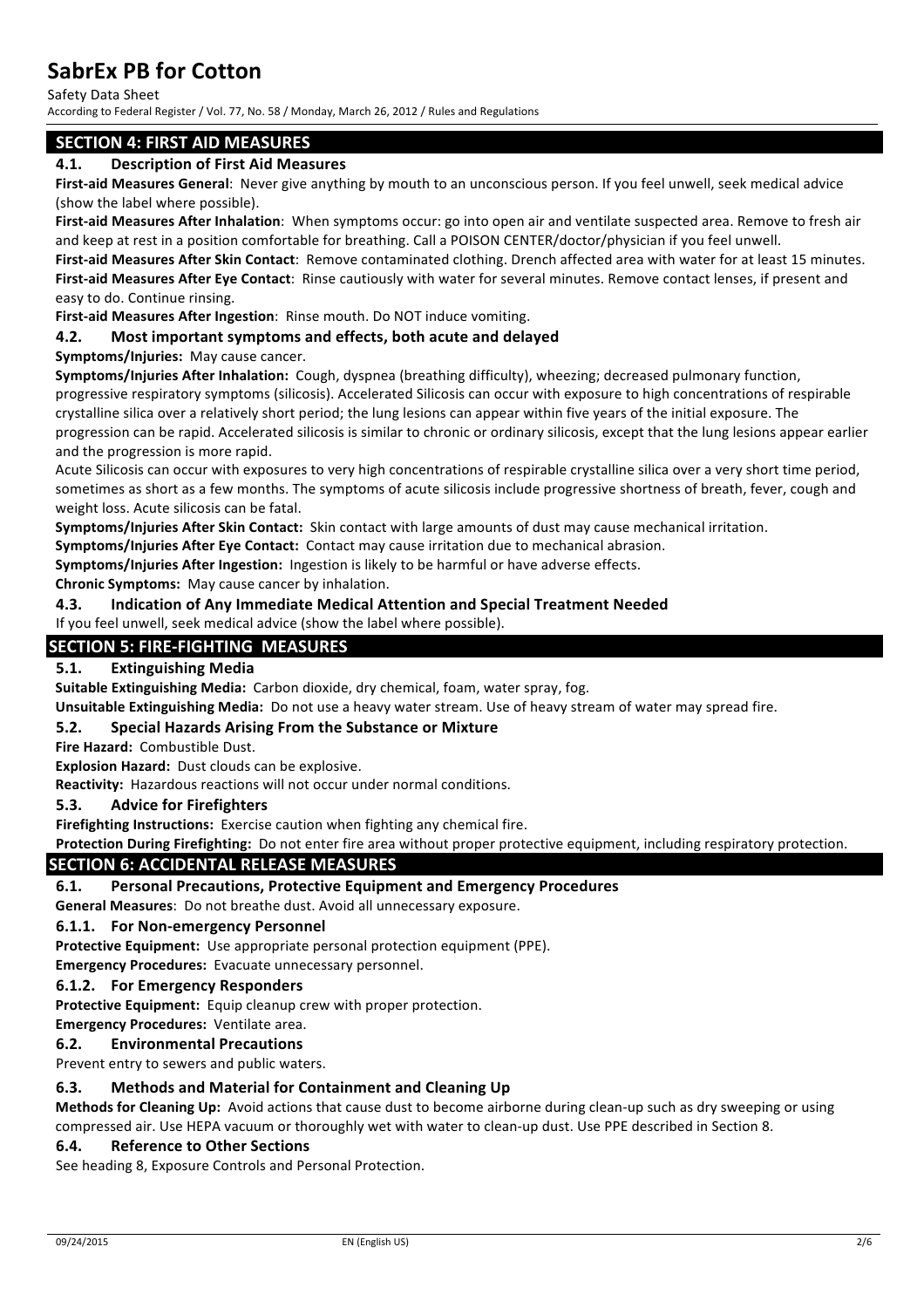Safety Data Sheet

According to Federal Register / Vol. 77, No. 58 / Monday, March 26, 2012 / Rules and Regulations

# **SECTION 4: FIRST AID MEASURES**

# **4.1. Description of First Aid Measures**

First-aid Measures General: Never give anything by mouth to an unconscious person. If you feel unwell, seek medical advice (show the label where possible).

First-aid Measures After Inhalation: When symptoms occur: go into open air and ventilate suspected area. Remove to fresh air and keep at rest in a position comfortable for breathing. Call a POISON CENTER/doctor/physician if you feel unwell. First-aid Measures After Skin Contact: Remove contaminated clothing. Drench affected area with water for at least 15 minutes. First-aid Measures After Eye Contact: Rinse cautiously with water for several minutes. Remove contact lenses, if present and easy to do. Continue rinsing.

**First-aid Measures After Ingestion:** Rinse mouth. Do NOT induce vomiting.

# **4.2.** Most important symptoms and effects, both acute and delayed

### **Symptoms/Injuries: May cause cancer.**

**Symptoms/Injuries After Inhalation:** Cough, dyspnea (breathing difficulty), wheezing: decreased pulmonary function, progressive respiratory symptoms (silicosis). Accelerated Silicosis can occur with exposure to high concentrations of respirable crystalline silica over a relatively short period; the lung lesions can appear within five years of the initial exposure. The progression can be rapid. Accelerated silicosis is similar to chronic or ordinary silicosis, except that the lung lesions appear earlier and the progression is more rapid.

Acute Silicosis can occur with exposures to very high concentrations of respirable crystalline silica over a very short time period, sometimes as short as a few months. The symptoms of acute silicosis include progressive shortness of breath, fever, cough and weight loss. Acute silicosis can be fatal.

**Symptoms/Injuries After Skin Contact:** Skin contact with large amounts of dust may cause mechanical irritation.

**Symptoms/Injuries After Eye Contact:** Contact may cause irritation due to mechanical abrasion.

**Symptoms/Injuries After Ingestion:** Ingestion is likely to be harmful or have adverse effects.

**Chronic Symptoms:** May cause cancer by inhalation.

# **4.3. Indication of Any Immediate Medical Attention and Special Treatment Needed**

# If you feel unwell, seek medical advice (show the label where possible).

# **SECTION 5: FIRE-FIGHTING MEASURES**

### **5.1. Extinguishing Media**

**Suitable Extinguishing Media:** Carbon dioxide, dry chemical, foam, water spray, fog.

**Unsuitable Extinguishing Media:** Do not use a heavy water stream. Use of heavy stream of water may spread fire.

### **5.2. Special Hazards Arising From the Substance or Mixture**

Fire Hazard: Combustible Dust.

**Explosion Hazard:** Dust clouds can be explosive.

**Reactivity:** Hazardous reactions will not occur under normal conditions.

#### **5.3.** Advice for Firefighters

**Firefighting Instructions:** Exercise caution when fighting any chemical fire.

Protection During Firefighting: Do not enter fire area without proper protective equipment, including respiratory protection.

### **SECTION 6: ACCIDENTAL RELEASE MEASURES**

### **6.1. Personal Precautions, Protective Equipment and Emergency Procedures**

**General Measures:** Do not breathe dust. Avoid all unnecessary exposure.

#### **6.1.1. For Non-emergency Personnel**

**Protective Equipment:** Use appropriate personal protection equipment (PPE).

**Emergency Procedures:** Evacuate unnecessary personnel.

#### **6.1.2.** For Emergency Responders

**Protective Equipment:** Equip cleanup crew with proper protection.

**Emergency Procedures: Ventilate area.** 

### **6.2. Environmental Precautions**

Prevent entry to sewers and public waters.

### **6.3.** Methods and Material for Containment and Cleaning Up

**Methods for Cleaning Up:** Avoid actions that cause dust to become airborne during clean-up such as dry sweeping or using compressed air. Use HEPA vacuum or thoroughly wet with water to clean-up dust. Use PPE described in Section 8.

# **6.4. Reference to Other Sections**

See heading 8, Exposure Controls and Personal Protection.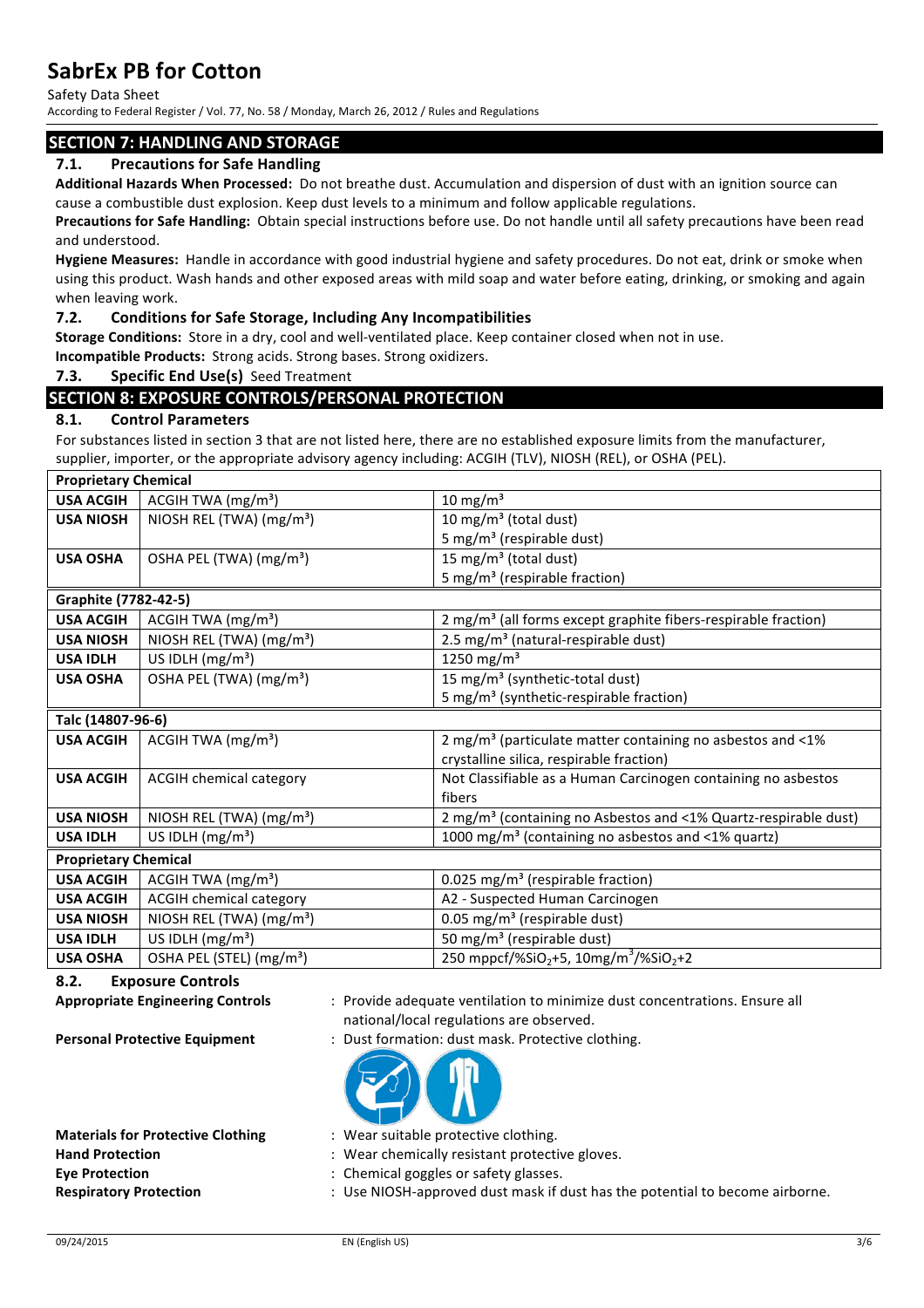Safety Data Sheet

According to Federal Register / Vol. 77, No. 58 / Monday, March 26, 2012 / Rules and Regulations

# **SECTION 7: HANDLING AND STORAGE**

# **7.1.** Precautions for Safe Handling

Additional Hazards When Processed: Do not breathe dust. Accumulation and dispersion of dust with an ignition source can cause a combustible dust explosion. Keep dust levels to a minimum and follow applicable regulations.

**Precautions for Safe Handling:** Obtain special instructions before use. Do not handle until all safety precautions have been read and understood.

Hygiene Measures: Handle in accordance with good industrial hygiene and safety procedures. Do not eat, drink or smoke when using this product. Wash hands and other exposed areas with mild soap and water before eating, drinking, or smoking and again when leaving work.

### **7.2.** Conditions for Safe Storage, Including Any Incompatibilities

**Storage Conditions:** Store in a dry, cool and well-ventilated place. Keep container closed when not in use.

**Incompatible Products:** Strong acids. Strong bases. Strong oxidizers.

### **7.3. Specific End Use(s)** Seed Treatment

# **SECTION 8: EXPOSURE CONTROLS/PERSONAL PROTECTION**

### **8.1. Control Parameters**

For substances listed in section 3 that are not listed here, there are no established exposure limits from the manufacturer, supplier, importer, or the appropriate advisory agency including: ACGIH (TLV), NIOSH (REL), or OSHA (PEL).

| <b>Proprietary Chemical</b> |                                      |                                                                              |
|-----------------------------|--------------------------------------|------------------------------------------------------------------------------|
| <b>USA ACGIH</b>            | ACGIH TWA (mg/m <sup>3</sup> )       | $10 \text{ mg/m}^3$                                                          |
| <b>USA NIOSH</b>            | NIOSH REL (TWA) (mg/m <sup>3</sup> ) | 10 mg/m <sup>3</sup> (total dust)                                            |
|                             |                                      | 5 mg/m <sup>3</sup> (respirable dust)                                        |
| <b>USA OSHA</b>             | OSHA PEL (TWA) (mg/m <sup>3</sup> )  | 15 mg/m <sup>3</sup> (total dust)                                            |
|                             |                                      | 5 mg/m <sup>3</sup> (respirable fraction)                                    |
| Graphite (7782-42-5)        |                                      |                                                                              |
| <b>USA ACGIH</b>            | ACGIH TWA (mg/m <sup>3</sup> )       | 2 mg/m <sup>3</sup> (all forms except graphite fibers-respirable fraction)   |
| <b>USA NIOSH</b>            | NIOSH REL (TWA) (mg/m <sup>3</sup> ) | 2.5 mg/m <sup>3</sup> (natural-respirable dust)                              |
| <b>USA IDLH</b>             | US IDLH $(mg/m3)$                    | 1250 mg/m <sup>3</sup>                                                       |
| <b>USA OSHA</b>             | OSHA PEL (TWA) (mg/m <sup>3</sup> )  | 15 mg/m <sup>3</sup> (synthetic-total dust)                                  |
|                             |                                      | 5 mg/m <sup>3</sup> (synthetic-respirable fraction)                          |
| Talc (14807-96-6)           |                                      |                                                                              |
| <b>USA ACGIH</b>            | ACGIH TWA $(mg/m3)$                  | 2 mg/m <sup>3</sup> (particulate matter containing no asbestos and $\leq$ 1% |
|                             |                                      | crystalline silica, respirable fraction)                                     |
| <b>USA ACGIH</b>            | <b>ACGIH chemical category</b>       | Not Classifiable as a Human Carcinogen containing no asbestos                |
|                             |                                      | fibers                                                                       |
| <b>USA NIOSH</b>            | NIOSH REL (TWA) $(mg/m3)$            | 2 mg/m <sup>3</sup> (containing no Asbestos and <1% Quartz-respirable dust)  |
| <b>USA IDLH</b>             | US IDLH $(mg/m3)$                    | 1000 mg/m <sup>3</sup> (containing no asbestos and <1% quartz)               |
| <b>Proprietary Chemical</b> |                                      |                                                                              |
| <b>USA ACGIH</b>            | ACGIH TWA $(mg/m3)$                  | 0.025 mg/m <sup>3</sup> (respirable fraction)                                |
| <b>USA ACGIH</b>            | <b>ACGIH chemical category</b>       | A2 - Suspected Human Carcinogen                                              |
| <b>USA NIOSH</b>            | NIOSH REL (TWA) $(mg/m3)$            | 0.05 mg/m <sup>3</sup> (respirable dust)                                     |
| <b>USA IDLH</b>             | US IDLH $(mg/m3)$                    | 50 mg/m <sup>3</sup> (respirable dust)                                       |
| <b>USA OSHA</b>             | OSHA PEL (STEL) (mg/m <sup>3</sup> ) | 250 mppcf/%SiO <sub>2</sub> +5, 10mg/m <sup>3</sup> /%SiO <sub>2</sub> +2    |

**8.2. Exposure Controls** 

# Appropriate Engineering Controls : Provide adequate ventilation to minimize dust concentrations. Ensure all national/local regulations are observed.

**Personal Protective Equipment** : Dust formation: dust mask. Protective clothing.



| <b>Materials for Protective Clothing</b> | : Wear suitable protective clothing.                                         |
|------------------------------------------|------------------------------------------------------------------------------|
| <b>Hand Protection</b>                   | : Wear chemically resistant protective gloves.                               |
| <b>Eve Protection</b>                    | : Chemical goggles or safety glasses.                                        |
| <b>Respiratory Protection</b>            | : Use NIOSH-approved dust mask if dust has the potential to become airborne. |
|                                          |                                                                              |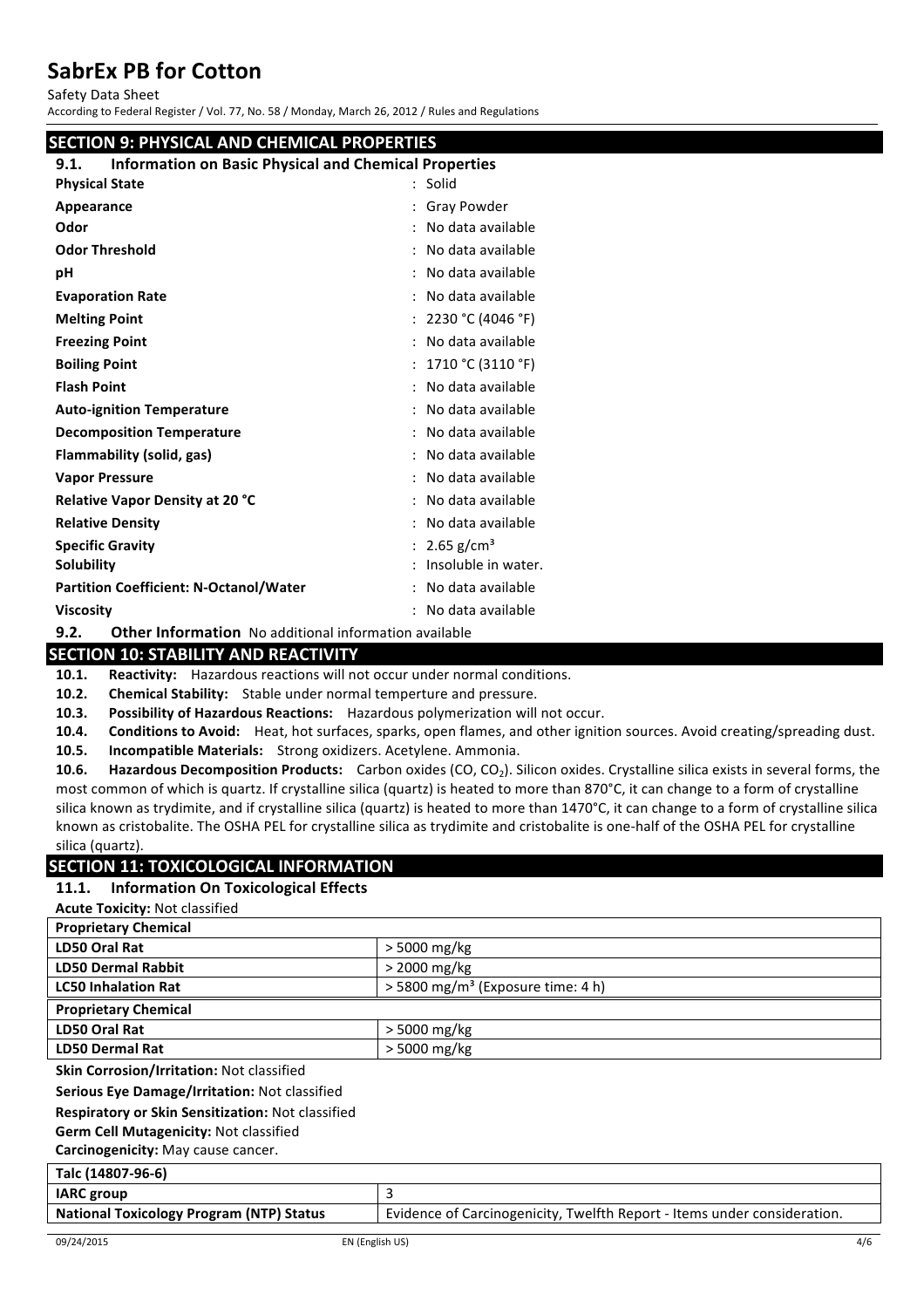Safety Data Sheet

According to Federal Register / Vol. 77, No. 58 / Monday, March 26, 2012 / Rules and Regulations

| <b>SECTION 9: PHYSICAL AND CHEMICAL PROPERTIES</b>                   |                          |
|----------------------------------------------------------------------|--------------------------|
| <b>Information on Basic Physical and Chemical Properties</b><br>9.1. |                          |
| <b>Physical State</b>                                                | $:$ Solid                |
| Appearance                                                           | : Gray Powder            |
| Odor                                                                 | : No data available      |
| <b>Odor Threshold</b>                                                | : No data available      |
| рH                                                                   | : No data available      |
| <b>Evaporation Rate</b>                                              | : No data available      |
| <b>Melting Point</b>                                                 | : $2230 °C (4046 °F)$    |
| <b>Freezing Point</b>                                                | : No data available      |
| <b>Boiling Point</b>                                                 | : $1710 °C (3110 °F)$    |
| <b>Flash Point</b>                                                   | : No data available      |
| <b>Auto-ignition Temperature</b>                                     | : No data available      |
| <b>Decomposition Temperature</b>                                     | : No data available      |
| Flammability (solid, gas)                                            | : No data available      |
| <b>Vapor Pressure</b>                                                | : No data available      |
| <b>Relative Vapor Density at 20 °C</b>                               | : No data available      |
| <b>Relative Density</b>                                              | : No data available      |
| <b>Specific Gravity</b>                                              | : 2.65 g/cm <sup>3</sup> |
| Solubility                                                           | : Insoluble in water.    |
| <b>Partition Coefficient: N-Octanol/Water</b>                        | : No data available      |
| <b>Viscosity</b>                                                     | : No data available      |
| 9.2.<br><b>Other Information</b> No additional information available |                          |

# **SECTION 10: STABILITY AND REACTIVITY**

**10.1.** Reactivity: Hazardous reactions will not occur under normal conditions.

**10.2.** Chemical Stability: Stable under normal temperture and pressure.

**10.3.** Possibility of Hazardous Reactions: Hazardous polymerization will not occur.

**10.4.** Conditions to Avoid: Heat, hot surfaces, sparks, open flames, and other ignition sources. Avoid creating/spreading dust.

10.5. **Incompatible Materials:** Strong oxidizers. Acetylene. Ammonia.

**10.6.** Hazardous Decomposition Products: Carbon oxides (CO, CO<sub>2</sub>). Silicon oxides. Crystalline silica exists in several forms, the most common of which is quartz. If crystalline silica (quartz) is heated to more than 870°C, it can change to a form of crystalline silica known as trydimite, and if crystalline silica (quartz) is heated to more than 1470°C, it can change to a form of crystalline silica known as cristobalite. The OSHA PEL for crystalline silica as trydimite and cristobalite is one-half of the OSHA PEL for crystalline silica (quartz).

# **SECTION 11: TOXICOLOGICAL INFORMATION**

### **11.1. Information On Toxicological Effects**

**Acute Toxicity: Not classified** 

| <b>Proprietary Chemical</b>               |                                               |
|-------------------------------------------|-----------------------------------------------|
| LD50 Oral Rat                             | $>$ 5000 mg/kg                                |
| <b>LD50 Dermal Rabbit</b>                 | $>$ 2000 mg/kg                                |
| <b>LC50 Inhalation Rat</b>                | > 5800 mg/m <sup>3</sup> (Exposure time: 4 h) |
| <b>Proprietary Chemical</b>               |                                               |
| LD50 Oral Rat                             | $>$ 5000 mg/kg                                |
| <b>LD50 Dermal Rat</b>                    | $>$ 5000 mg/kg                                |
| Skin Corrosion/Irritation: Not classified |                                               |

**Serious Eye Damage/Irritation: Not classified** 

**Respiratory or Skin Sensitization:** Not classified

**Germ Cell Mutagenicity: Not classified** 

**Carcinogenicity:** May cause cancer.

| Talc (14807-96-6)                               |                                                                          |
|-------------------------------------------------|--------------------------------------------------------------------------|
| <b>IARC</b> group                               |                                                                          |
| <b>National Toxicology Program (NTP) Status</b> | Evidence of Carcinogenicity, Twelfth Report - Items under consideration. |
|                                                 |                                                                          |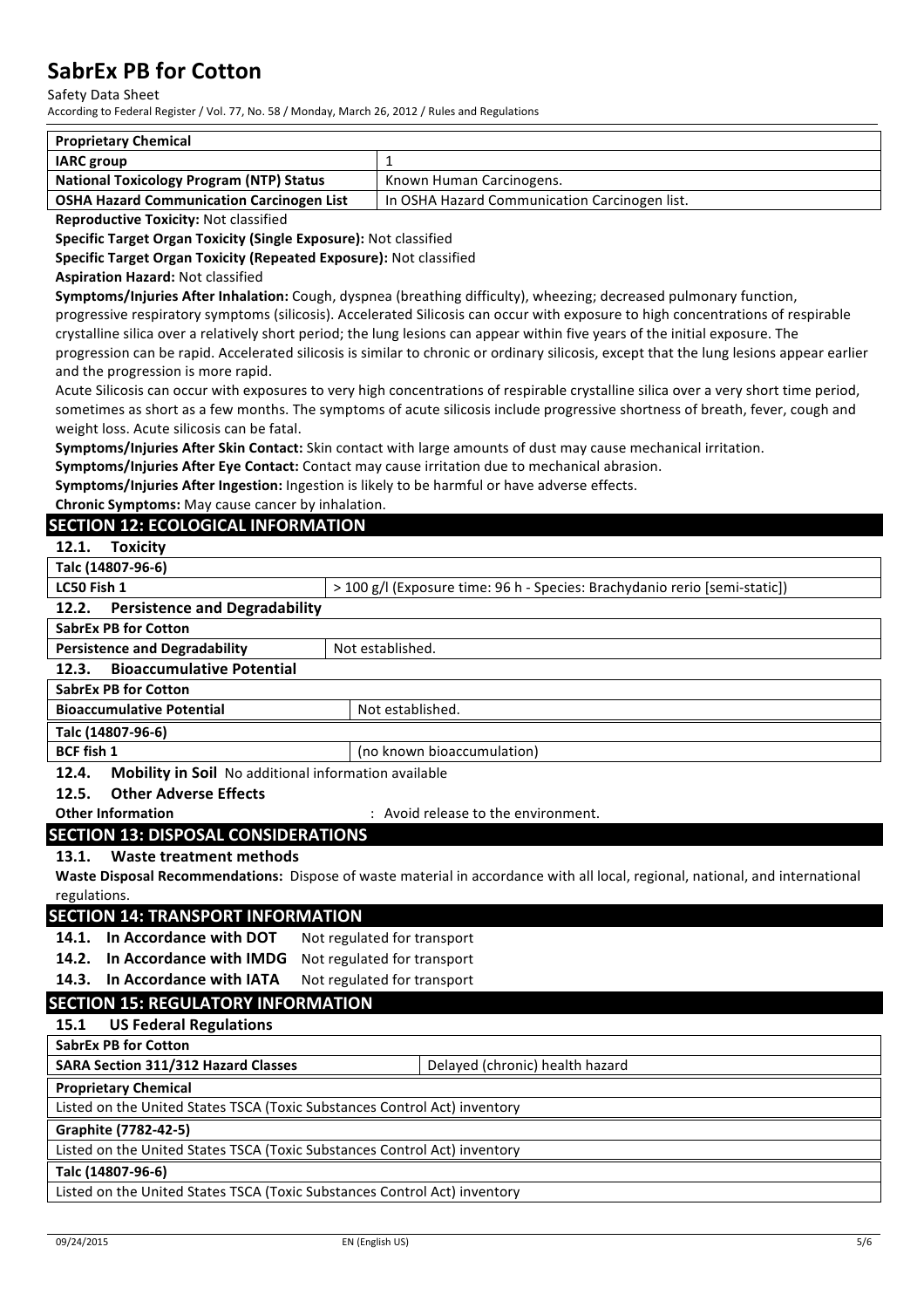#### Safety Data Sheet

According to Federal Register / Vol. 77, No. 58 / Monday, March 26, 2012 / Rules and Regulations

| <b>Proprietary Chemical</b>                      |                                               |
|--------------------------------------------------|-----------------------------------------------|
| <b>IARC</b> group                                |                                               |
| <b>National Toxicology Program (NTP) Status</b>  | Known Human Carcinogens.                      |
| <b>OSHA Hazard Communication Carcinogen List</b> | In OSHA Hazard Communication Carcinogen list. |

**Reproductive Toxicity: Not classified** 

**Specific Target Organ Toxicity (Single Exposure):** Not classified

**Specific Target Organ Toxicity (Repeated Exposure): Not classified** 

#### **Aspiration Hazard:** Not classified

**Symptoms/Injuries After Inhalation:** Cough, dyspnea (breathing difficulty), wheezing; decreased pulmonary function,

progressive respiratory symptoms (silicosis). Accelerated Silicosis can occur with exposure to high concentrations of respirable crystalline silica over a relatively short period; the lung lesions can appear within five years of the initial exposure. The progression can be rapid. Accelerated silicosis is similar to chronic or ordinary silicosis, except that the lung lesions appear earlier and the progression is more rapid.

Acute Silicosis can occur with exposures to very high concentrations of respirable crystalline silica over a very short time period, sometimes as short as a few months. The symptoms of acute silicosis include progressive shortness of breath, fever, cough and weight loss. Acute silicosis can be fatal.

**Symptoms/Injuries After Skin Contact:** Skin contact with large amounts of dust may cause mechanical irritation.

**Symptoms/Injuries After Eye Contact:** Contact may cause irritation due to mechanical abrasion.

Symptoms/Injuries After Ingestion: Ingestion is likely to be harmful or have adverse effects.

**Chronic Symptoms:** May cause cancer by inhalation.

# **SECTION 12: ECOLOGICAL INFORMATION**

#### **Talc (14807-96-6)**

**LC50 Fish 1**  $\vert$  > 100 g/l (Exposure time: 96 h - Species: Brachydanio rerio [semi-static])

# 12.2. **Persistence and Degradability**

| <b>SabrEx PB for Cotton</b>                                          |                            |
|----------------------------------------------------------------------|----------------------------|
| <b>Persistence and Degradability</b>                                 | Not established.           |
| <b>Bioaccumulative Potential</b><br>12.3.                            |                            |
| <b>SabrEx PB for Cotton</b>                                          |                            |
| <b>Bioaccumulative Potential</b>                                     | Not established.           |
| Talc (14807-96-6)                                                    |                            |
| <b>BCF</b> fish 1                                                    | (no known bioaccumulation) |
| <b>Mobility in Soil</b> No additional information available<br>12.4. |                            |

**12.5. Other Adverse Effects**

**Other Information** : Avoid release to the environment.

# **SECTION 13: DISPOSAL CONSIDERATIONS**

# 13.1. Waste treatment methods

Waste Disposal Recommendations: Dispose of waste material in accordance with all local, regional, national, and international regulations.

### **SECTION 14: TRANSPORT INFORMATION**

**14.1.** In Accordance with DOT Not regulated for transport

**14.2.** In Accordance with IMDG Not regulated for transport

**14.3. In Accordance with IATA** Not regulated for transport

# **SECTION 15: REGULATORY INFORMATION**

**15.1 US Federal Regulations** 

**SabrEx PB for Cotton**

**SARA Section 311/312 Hazard Classes** | Delayed (chronic) health hazard

# **Proprietary Chemical**

Listed on the United States TSCA (Toxic Substances Control Act) inventory

# **Graphite (7782-42-5)**

Listed on the United States TSCA (Toxic Substances Control Act) inventory

#### **Talc (14807-96-6)**

Listed on the United States TSCA (Toxic Substances Control Act) inventory